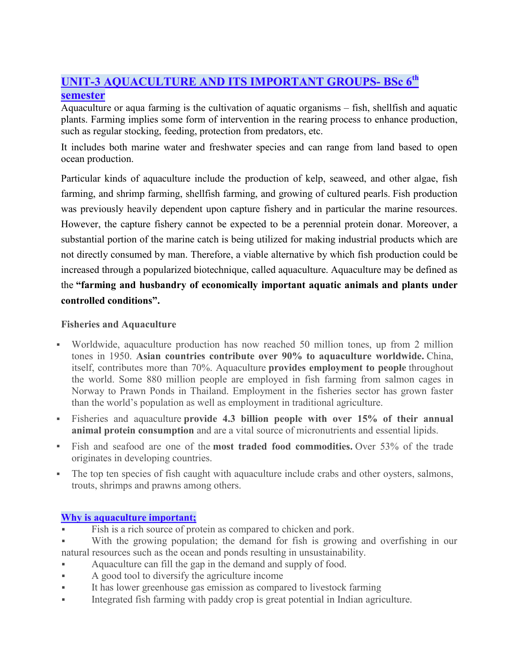# **UNIT-3 AQUACULTURE AND ITS IMPORTANT GROUPS- BSc 6th semester**

Aquaculture or aqua farming is the cultivation of aquatic organisms – fish, shellfish and aquatic plants. Farming implies some form of intervention in the rearing process to enhance production, such as regular stocking, feeding, protection from predators, etc.

It includes both marine water and freshwater species and can range from land based to open ocean production.

Particular kinds of aquaculture include the production of kelp, seaweed, and other algae, fish farming, and shrimp farming, shellfish farming, and growing of cultured pearls. Fish production was previously heavily dependent upon capture fishery and in particular the marine resources. However, the capture fishery cannot be expected to be a perennial protein donar. Moreover, a substantial portion of the marine catch is being utilized for making industrial products which are not directly consumed by man. Therefore, a viable alternative by which fish production could be increased through a popularized biotechnique, called aquaculture. Aquaculture may be defined as the **"farming and husbandry of economically important aquatic animals and plants under controlled conditions".**

# **Fisheries and Aquaculture**

- Worldwide, aquaculture production has now reached 50 million tones, up from 2 million tones in 1950. **Asian countries contribute over 90% to aquaculture worldwide.** China, itself, contributes more than 70%. Aquaculture **provides employment to people** throughout the world. Some 880 million people are employed in fish farming from salmon cages in Norway to Prawn Ponds in Thailand. Employment in the fisheries sector has grown faster than the world's population as well as employment in traditional agriculture.
- Fisheries and aquaculture **provide 4.3 billion people with over 15% of their annual animal protein consumption** and are a vital source of micronutrients and essential lipids.
- Fish and seafood are one of the **most traded food commodities.** Over 53% of the trade originates in developing countries.
- The top ten species of fish caught with aquaculture include crabs and other oysters, salmons, trouts, shrimps and prawns among others.

# **Why is aquaculture important;**

- Fish is a rich source of protein as compared to chicken and pork.
- With the growing population; the demand for fish is growing and overfishing in our natural resources such as the ocean and ponds resulting in unsustainability.
- Aquaculture can fill the gap in the demand and supply of food.
- A good tool to diversify the agriculture income
- It has lower greenhouse gas emission as compared to livestock farming
- Integrated fish farming with paddy crop is great potential in Indian agriculture.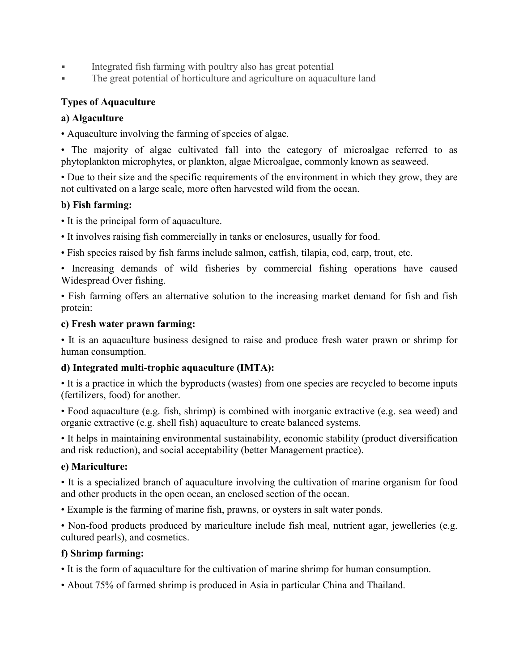- Integrated fish farming with poultry also has great potential
- The great potential of horticulture and agriculture on aquaculture land

# **Types of Aquaculture**

# **a) Algaculture**

• Aquaculture involving the farming of species of algae.

• The majority of algae cultivated fall into the category of microalgae referred to as phytoplankton microphytes, or plankton, algae Microalgae, commonly known as seaweed.

• Due to their size and the specific requirements of the environment in which they grow, they are not cultivated on a large scale, more often harvested wild from the ocean.

# **b) Fish farming:**

- It is the principal form of aquaculture.
- It involves raising fish commercially in tanks or enclosures, usually for food.
- Fish species raised by fish farms include salmon, catfish, tilapia, cod, carp, trout, etc.

• Increasing demands of wild fisheries by commercial fishing operations have caused Widespread Over fishing.

• Fish farming offers an alternative solution to the increasing market demand for fish and fish protein:

# **c) Fresh water prawn farming:**

• It is an aquaculture business designed to raise and produce fresh water prawn or shrimp for human consumption.

# **d) Integrated multi-trophic aquaculture (IMTA):**

• It is a practice in which the byproducts (wastes) from one species are recycled to become inputs (fertilizers, food) for another.

• Food aquaculture (e.g. fish, shrimp) is combined with inorganic extractive (e.g. sea weed) and organic extractive (e.g. shell fish) aquaculture to create balanced systems.

• It helps in maintaining environmental sustainability, economic stability (product diversification and risk reduction), and social acceptability (better Management practice).

## **e) Mariculture:**

• It is a specialized branch of aquaculture involving the cultivation of marine organism for food and other products in the open ocean, an enclosed section of the ocean.

• Example is the farming of marine fish, prawns, or oysters in salt water ponds.

• Non-food products produced by mariculture include fish meal, nutrient agar, jewelleries (e.g. cultured pearls), and cosmetics.

## **f) Shrimp farming:**

- It is the form of aquaculture for the cultivation of marine shrimp for human consumption.
- About 75% of farmed shrimp is produced in Asia in particular China and Thailand.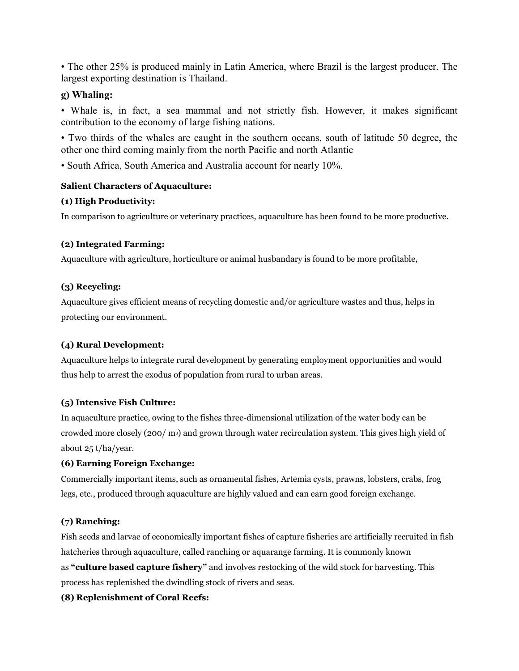• The other 25% is produced mainly in Latin America, where Brazil is the largest producer. The largest exporting destination is Thailand.

## **g) Whaling:**

• Whale is, in fact, a sea mammal and not strictly fish. However, it makes significant contribution to the economy of large fishing nations.

• Two thirds of the whales are caught in the southern oceans, south of latitude 50 degree, the other one third coming mainly from the north Pacific and north Atlantic

• South Africa, South America and Australia account for nearly 10%.

#### **Salient Characters of Aquaculture:**

#### **(1) High Productivity:**

In comparison to agriculture or veterinary practices, aquaculture has been found to be more productive.

#### **(2) Integrated Farming:**

Aquaculture with agriculture, horticulture or animal husbandary is found to be more profitable,

#### **(3) Recycling:**

Aquaculture gives efficient means of recycling domestic and/or agriculture wastes and thus, helps in protecting our environment.

#### **(4) Rural Development:**

Aquaculture helps to integrate rural development by generating employment opportunities and would thus help to arrest the exodus of population from rural to urban areas.

#### **(5) Intensive Fish Culture:**

In aquaculture practice, owing to the fishes three-dimensional utilization of the water body can be crowded more closely (200/ m3) and grown through water recirculation system. This gives high yield of about 25 t/ha/year.

#### **(6) Earning Foreign Exchange:**

Commercially important items, such as ornamental fishes, Artemia cysts, prawns, lobsters, crabs, frog legs, etc., produced through aquaculture are highly valued and can earn good foreign exchange.

## **(7) Ranching:**

Fish seeds and larvae of economically important fishes of capture fisheries are artificially recruited in fish hatcheries through aquaculture, called ranching or aquarange farming. It is commonly known as **"culture based capture fishery"** and involves restocking of the wild stock for harvesting. This process has replenished the dwindling stock of rivers and seas.

#### **(8) Replenishment of Coral Reefs:**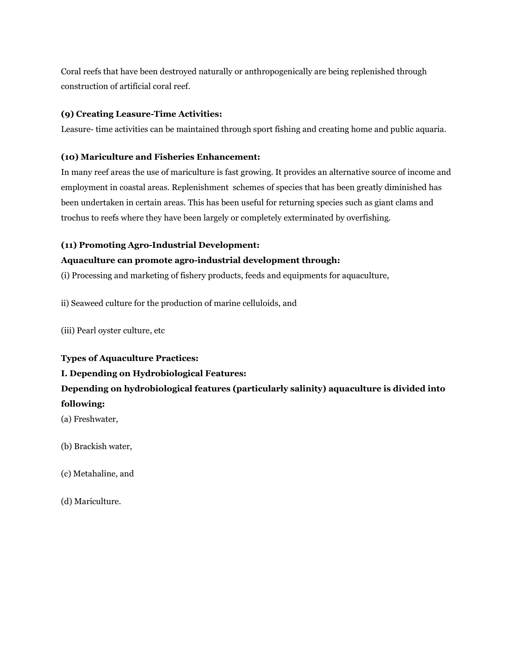Coral reefs that have been destroyed naturally or anthropogenically are being replenished through construction of artificial coral reef.

#### **(9) Creating Leasure-Time Activities:**

Leasure- time activities can be maintained through sport fishing and creating home and public aquaria.

#### **(10) Mariculture and Fisheries Enhancement:**

In many reef areas the use of mariculture is fast growing. It provides an alternative source of income and employment in coastal areas. Replenishment schemes of species that has been greatly diminished has been undertaken in certain areas. This has been useful for returning species such as giant clams and trochus to reefs where they have been largely or completely exterminated by overfishing.

#### **(11) Promoting Agro-Industrial Development:**

#### **Aquaculture can promote agro-industrial development through:**

(i) Processing and marketing of fishery products, feeds and equipments for aquaculture,

ii) Seaweed culture for the production of marine celluloids, and

(iii) Pearl oyster culture, etc

#### **Types of Aquaculture Practices:**

## **I. Depending on Hydrobiological Features:**

# **Depending on hydrobiological features (particularly salinity) aquaculture is divided into following:**

(a) Freshwater,

(b) Brackish water,

- (c) Metahaline, and
- (d) Mariculture.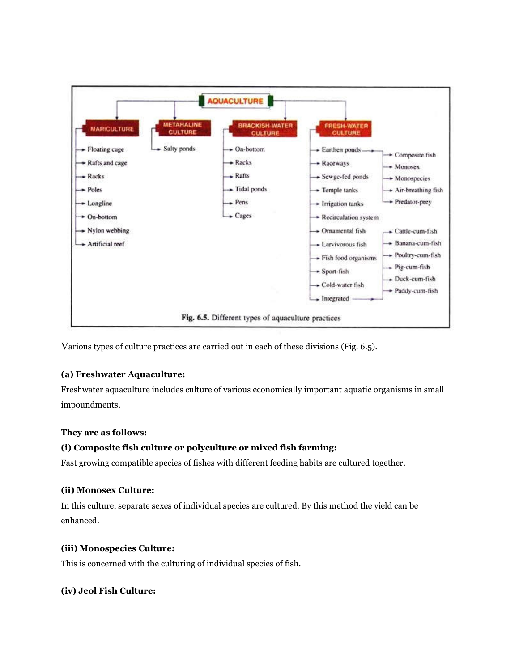

Various types of culture practices are carried out in each of these divisions (Fig. 6.5).

#### **(a) Freshwater Aquaculture:**

Freshwater aquaculture includes culture of various economically important aquatic organisms in small impoundments.

#### **They are as follows:**

#### **(i) Composite fish culture or polyculture or mixed fish farming:**

Fast growing compatible species of fishes with different feeding habits are cultured together.

#### **(ii) Monosex Culture:**

In this culture, separate sexes of individual species are cultured. By this method the yield can be enhanced.

#### **(iii) Monospecies Culture:**

This is concerned with the culturing of individual species of fish.

#### **(iv) Jeol Fish Culture:**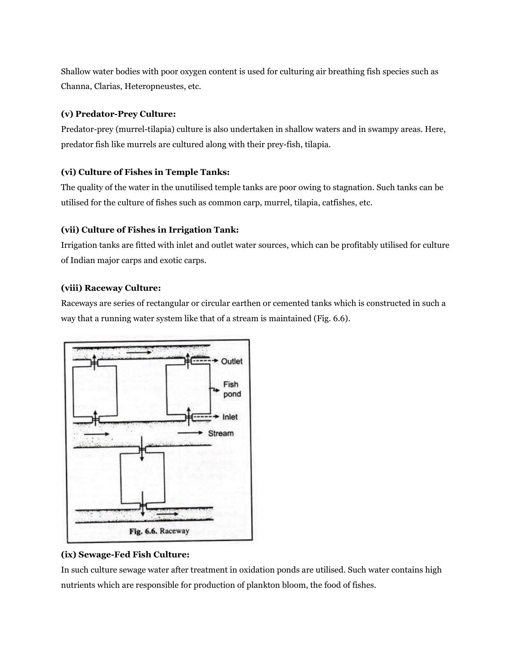Shallow water bodies with poor oxygen content is used for culturing air breathing fish species such as Channa, Clarias, Heteropneustes, etc.

#### **(v) Predator-Prey Culture:**

Predator-prey (murrel-tilapia) culture is also undertaken in shallow waters and in swampy areas. Here, predator fish like murrels are cultured along with their prey-fish, tilapia.

#### **(vi) Culture of Fishes in Temple Tanks:**

The quality of the water in the unutilised temple tanks are poor owing to stagnation. Such tanks can be utilised for the culture of fishes such as common carp, murrel, tilapia, catfishes, etc.

#### **(vii) Culture of Fishes in Irrigation Tank:**

Irrigation tanks are fitted with inlet and outlet water sources, which can be profitably utilised for culture of Indian major carps and exotic carps.

#### **(viii) Raceway Culture:**

Raceways are series of rectangular or circular earthen or cemented tanks which is constructed in such a way that a running water system like that of a stream is maintained (Fig. 6.6).



## **(ix) Sewage-Fed Fish Culture:**

In such culture sewage water after treatment in oxidation ponds are utilised. Such water contains high nutrients which are responsible for production of plankton bloom, the food of fishes.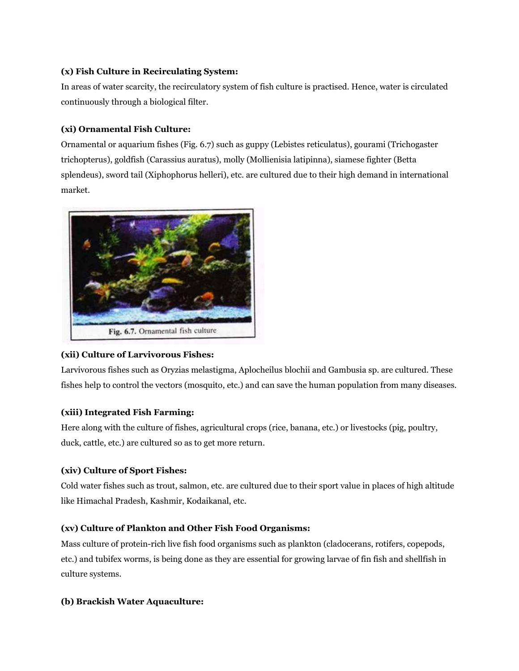#### **(x) Fish Culture in Recirculating System:**

In areas of water scarcity, the recirculatory system of fish culture is practised. Hence, water is circulated continuously through a biological filter.

## **(xi) Ornamental Fish Culture:**

Ornamental or aquarium fishes (Fig. 6.7) such as guppy (Lebistes reticulatus), gourami (Trichogaster trichopterus), goldfish (Carassius auratus), molly (Mollienisia latipinna), siamese fighter (Betta splendeus), sword tail (Xiphophorus helleri), etc. are cultured due to their high demand in international market.



## **(xii) Culture of Larvivorous Fishes:**

Larvivorous fishes such as Oryzias melastigma, Aplocheilus blochii and Gambusia sp. are cultured. These fishes help to control the vectors (mosquito, etc.) and can save the human population from many diseases.

## **(xiii) Integrated Fish Farming:**

Here along with the culture of fishes, agricultural crops (rice, banana, etc.) or livestocks (pig, poultry, duck, cattle, etc.) are cultured so as to get more return.

#### **(xiv) Culture of Sport Fishes:**

Cold water fishes such as trout, salmon, etc. are cultured due to their sport value in places of high altitude like Himachal Pradesh, Kashmir, Kodaikanal, etc.

## **(xv) Culture of Plankton and Other Fish Food Organisms:**

Mass culture of protein-rich live fish food organisms such as plankton (cladocerans, rotifers, copepods, etc.) and tubifex worms, is being done as they are essential for growing larvae of fin fish and shellfish in culture systems.

#### **(b) Brackish Water Aquaculture:**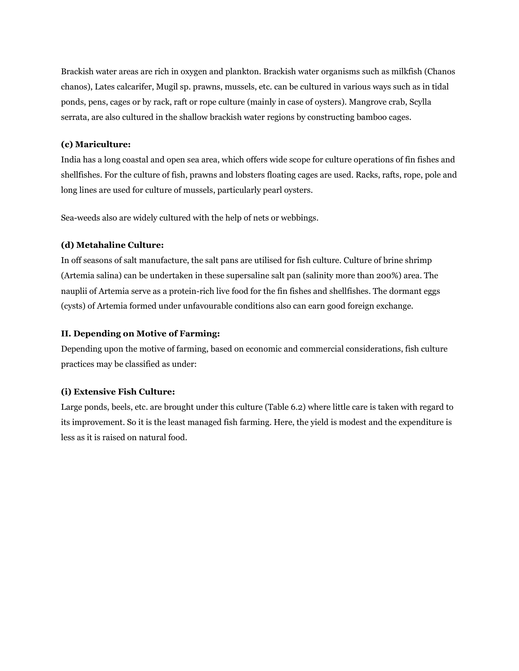Brackish water areas are rich in oxygen and plankton. Brackish water organisms such as milkfish (Chanos chanos), Lates calcarifer, Mugil sp. prawns, mussels, etc. can be cultured in various ways such as in tidal ponds, pens, cages or by rack, raft or rope culture (mainly in case of oysters). Mangrove crab, Scylla serrata, are also cultured in the shallow brackish water regions by constructing bamboo cages.

#### **(c) Mariculture:**

India has a long coastal and open sea area, which offers wide scope for culture operations of fin fishes and shellfishes. For the culture of fish, prawns and lobsters floating cages are used. Racks, rafts, rope, pole and long lines are used for culture of mussels, particularly pearl oysters.

Sea-weeds also are widely cultured with the help of nets or webbings.

#### **(d) Metahaline Culture:**

In off seasons of salt manufacture, the salt pans are utilised for fish culture. Culture of brine shrimp (Artemia salina) can be undertaken in these supersaline salt pan (salinity more than 200%) area. The nauplii of Artemia serve as a protein-rich live food for the fin fishes and shellfishes. The dormant eggs (cysts) of Artemia formed under unfavourable conditions also can earn good foreign exchange.

#### **II. Depending on Motive of Farming:**

Depending upon the motive of farming, based on economic and commercial considerations, fish culture practices may be classified as under:

#### **(i) Extensive Fish Culture:**

Large ponds, beels, etc. are brought under this culture (Table 6.2) where little care is taken with regard to its improvement. So it is the least managed fish farming. Here, the yield is modest and the expenditure is less as it is raised on natural food.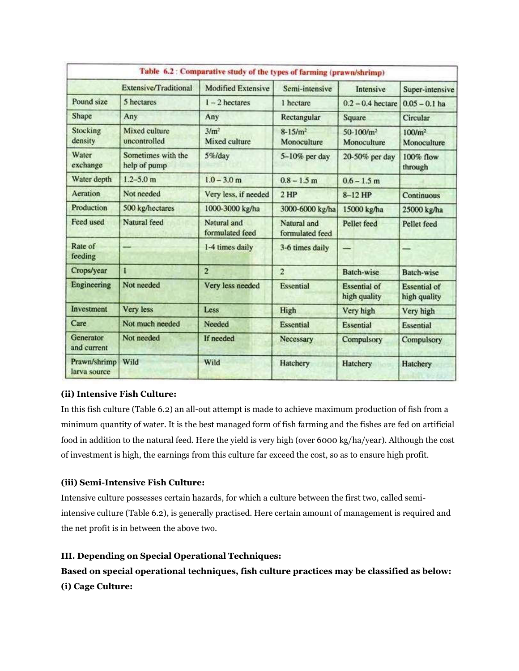|                              |                                    | Table 6.2 : Comparative study of the types of farming (prawn/shrimp) |                                |                                     |                                     |
|------------------------------|------------------------------------|----------------------------------------------------------------------|--------------------------------|-------------------------------------|-------------------------------------|
| Extensive/Traditional        |                                    | <b>Modified Extensive</b>                                            | Semi-intensive                 | Intensive                           | Super-intensive                     |
| Pound size                   | 5 hectares                         | $1 - 2$ hectares                                                     | 1 hectare                      | $0.2 - 0.4$ hectare                 | $0.05 - 0.1$ ha                     |
| Shape                        | Any                                | Any                                                                  | Rectangular                    | Square                              | Circular                            |
| Stocking<br>density          | Mixed culture<br>uncontrolled      | 3/m <sup>2</sup><br>Mixed culture                                    | $8 - 15/m^2$<br>Monoculture    | $50-100/m^2$<br>Monoculture         | 100/m <sup>2</sup><br>Monoculture   |
| Water<br>exchange            | Sometimes with the<br>help of pump | 5%/day                                                               | 5-10% per day                  | 20-50% per day                      | 100% flow<br>through                |
| Water depth                  | $1.2 - 5.0$ m                      | $1.0 - 3.0$ m                                                        | $0.8 - 1.5$ m                  | $0.6 - 1.5$ m                       |                                     |
| Aeration                     | Not needed                         | Very less, if needed                                                 | $2$ HP                         | $8-12$ HP                           | <b>Continuous</b>                   |
| Production                   | 500 kg/hectares                    | 1000-3000 kg/ha                                                      | 3000-6000 kg/ha                | 15000 kg/ha                         | 25000 kg/ha                         |
| Feed used                    | Natural feed                       | Natural and<br>formulated feed                                       | Natural and<br>formulated feed | Pellet feed                         | Pellet feed                         |
| Rate of<br>feeding           |                                    | 1-4 times daily                                                      | 3-6 times daily                | --                                  |                                     |
| Crops/year                   | 1                                  | $\overline{2}$                                                       | $\overline{2}$                 | Batch-wise                          | <b>Batch-wise</b>                   |
| Engineering                  | Not needed                         | Very less needed                                                     | <b>Essential</b>               | <b>Essential of</b><br>high quality | <b>Essential of</b><br>high quality |
| Investment                   | <b>Very less</b>                   | Less                                                                 | High                           | Very high                           | Very high                           |
| Care                         | Not much needed                    | Needed                                                               | <b>Essential</b>               | Essential                           | <b>Essential</b>                    |
| Generator<br>and current     | Not needed                         | If needed                                                            | Necessary                      | Compulsory                          | Compulsory                          |
| Prawn/shrimp<br>larva source | Wild                               | Wild                                                                 | Hatchery                       | Hatchery                            | Hatchery                            |

## **(ii) Intensive Fish Culture:**

In this fish culture (Table 6.2) an all-out attempt is made to achieve maximum production of fish from a minimum quantity of water. It is the best managed form of fish farming and the fishes are fed on artificial food in addition to the natural feed. Here the yield is very high (over 6000 kg/ha/year). Although the cost of investment is high, the earnings from this culture far exceed the cost, so as to ensure high profit.

## **(iii) Semi-Intensive Fish Culture:**

Intensive culture possesses certain hazards, for which a culture between the first two, called semiintensive culture (Table 6.2), is generally practised. Here certain amount of management is required and the net profit is in between the above two.

## **III. Depending on Special Operational Techniques:**

**Based on special operational techniques, fish culture practices may be classified as below: (i) Cage Culture:**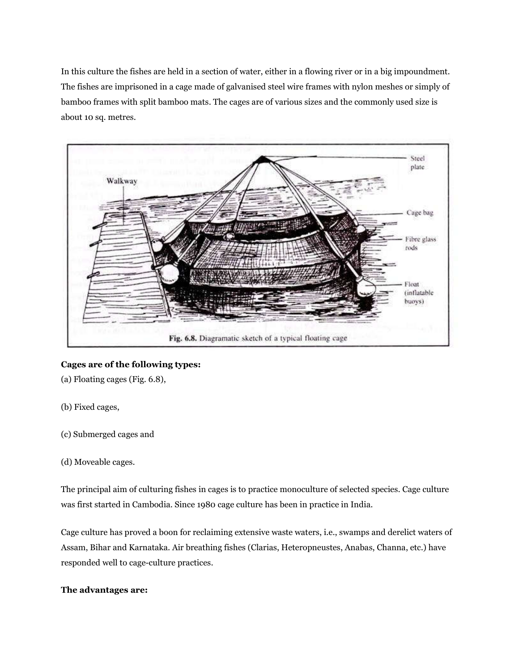In this culture the fishes are held in a section of water, either in a flowing river or in a big impoundment. The fishes are imprisoned in a cage made of galvanised steel wire frames with nylon meshes or simply of bamboo frames with split bamboo mats. The cages are of various sizes and the commonly used size is about 10 sq. metres.



#### **Cages are of the following types:**

(a) Floating cages (Fig. 6.8),

- (b) Fixed cages,
- (c) Submerged cages and
- (d) Moveable cages.

The principal aim of culturing fishes in cages is to practice monoculture of selected species. Cage culture was first started in Cambodia. Since 1980 cage culture has been in practice in India.

Cage culture has proved a boon for reclaiming extensive waste waters, i.e., swamps and derelict waters of Assam, Bihar and Karnataka. Air breathing fishes (Clarias, Heteropneustes, Anabas, Channa, etc.) have responded well to cage-culture practices.

#### **The advantages are:**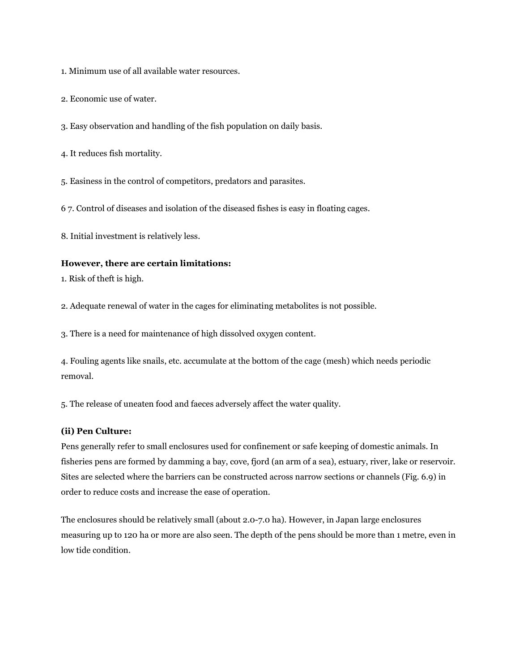1. Minimum use of all available water resources.

2. Economic use of water.

3. Easy observation and handling of the fish population on daily basis.

4. It reduces fish mortality.

5. Easiness in the control of competitors, predators and parasites.

6 7. Control of diseases and isolation of the diseased fishes is easy in floating cages.

8. Initial investment is relatively less.

#### **However, there are certain limitations:**

1. Risk of theft is high.

2. Adequate renewal of water in the cages for eliminating metabolites is not possible.

3. There is a need for maintenance of high dissolved oxygen content.

4. Fouling agents like snails, etc. accumulate at the bottom of the cage (mesh) which needs periodic removal.

5. The release of uneaten food and faeces adversely affect the water quality.

#### **(ii) Pen Culture:**

Pens generally refer to small enclosures used for confinement or safe keeping of domestic animals. In fisheries pens are formed by damming a bay, cove, fjord (an arm of a sea), estuary, river, lake or reservoir. Sites are selected where the barriers can be constructed across narrow sections or channels (Fig. 6.9) in order to reduce costs and increase the ease of operation.

The enclosures should be relatively small (about 2.0-7.0 ha). However, in Japan large enclosures measuring up to 120 ha or more are also seen. The depth of the pens should be more than 1 metre, even in low tide condition.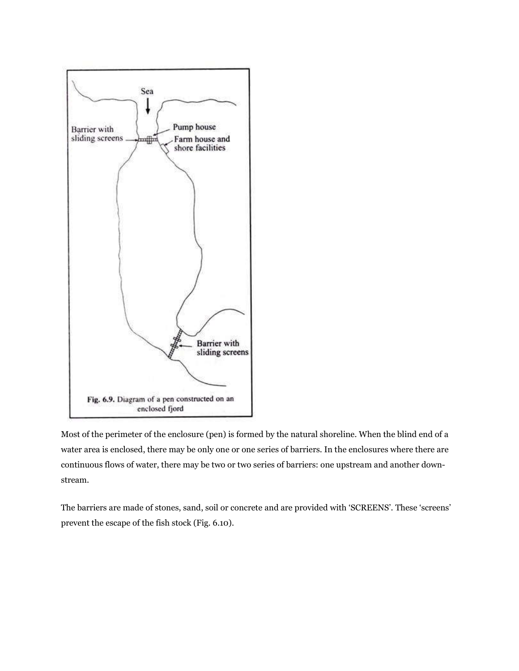

Most of the perimeter of the enclosure (pen) is formed by the natural shoreline. When the blind end of a water area is enclosed, there may be only one or one series of barriers. In the enclosures where there are continuous flows of water, there may be two or two series of barriers: one upstream and another downstream.

The barriers are made of stones, sand, soil or concrete and are provided with 'SCREENS'. These 'screens' prevent the escape of the fish stock (Fig. 6.10).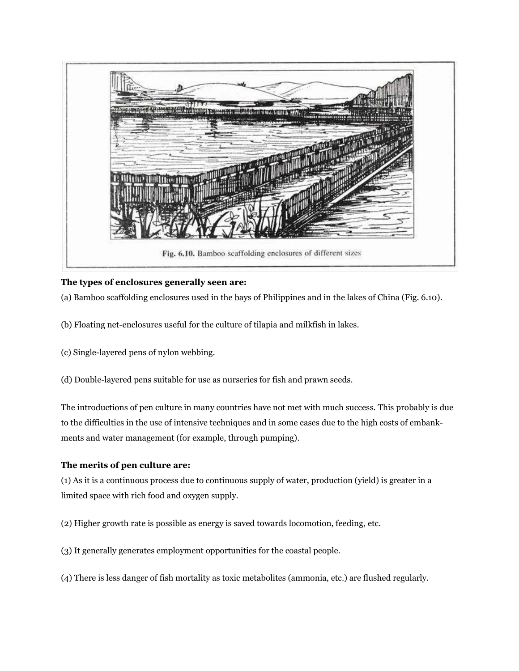

## **The types of enclosures generally seen are:**

(a) Bamboo scaffolding enclosures used in the bays of Philippines and in the lakes of China (Fig. 6.10).

- (b) Floating net-enclosures useful for the culture of tilapia and milkfish in lakes.
- (c) Single-layered pens of nylon webbing.
- (d) Double-layered pens suitable for use as nurseries for fish and prawn seeds.

The introductions of pen culture in many countries have not met with much success. This probably is due to the difficulties in the use of intensive techniques and in some cases due to the high costs of embankments and water management (for example, through pumping).

#### **The merits of pen culture are:**

(1) As it is a continuous process due to continuous supply of water, production (yield) is greater in a limited space with rich food and oxygen supply.

- (2) Higher growth rate is possible as energy is saved towards locomotion, feeding, etc.
- (3) It generally generates employment opportunities for the coastal people.
- (4) There is less danger of fish mortality as toxic metabolites (ammonia, etc.) are flushed regularly.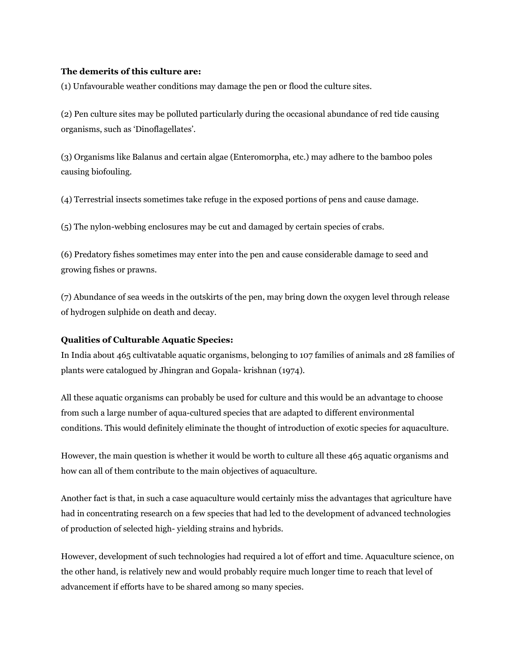#### **The demerits of this culture are:**

(1) Unfavourable weather conditions may damage the pen or flood the culture sites.

(2) Pen culture sites may be polluted particularly during the occasional abundance of red tide causing organisms, such as 'Dinoflagellates'.

(3) Organisms like Balanus and certain algae (Enteromorpha, etc.) may adhere to the bamboo poles causing biofouling.

(4) Terrestrial insects sometimes take refuge in the exposed portions of pens and cause damage.

(5) The nylon-webbing enclosures may be cut and damaged by certain species of crabs.

(6) Predatory fishes sometimes may enter into the pen and cause considerable damage to seed and growing fishes or prawns.

(7) Abundance of sea weeds in the outskirts of the pen, may bring down the oxygen level through release of hydrogen sulphide on death and decay.

#### **Qualities of Culturable Aquatic Species:**

In India about 465 cultivatable aquatic organisms, belonging to 107 families of animals and 28 families of plants were catalogued by Jhingran and Gopala- krishnan (1974).

All these aquatic organisms can probably be used for culture and this would be an advantage to choose from such a large number of aqua-cultured species that are adapted to different environmental conditions. This would definitely eliminate the thought of introduction of exotic species for aquaculture.

However, the main question is whether it would be worth to culture all these 465 aquatic organisms and how can all of them contribute to the main objectives of aquaculture.

Another fact is that, in such a case aquaculture would certainly miss the advantages that agriculture have had in concentrating research on a few species that had led to the development of advanced technologies of production of selected high- yielding strains and hybrids.

However, development of such technologies had required a lot of effort and time. Aquaculture science, on the other hand, is relatively new and would probably require much longer time to reach that level of advancement if efforts have to be shared among so many species.